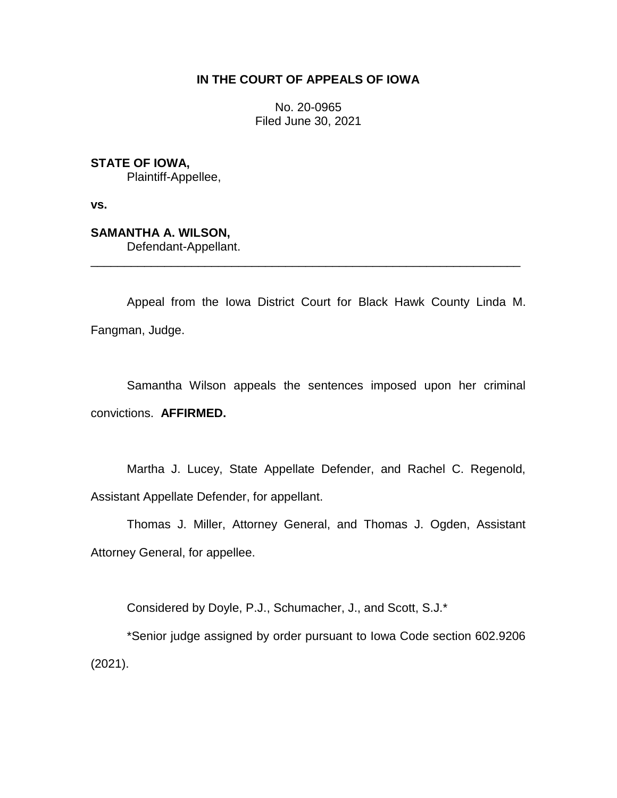# **IN THE COURT OF APPEALS OF IOWA**

No. 20-0965 Filed June 30, 2021

**STATE OF IOWA,** Plaintiff-Appellee,

**vs.**

**SAMANTHA A. WILSON,** Defendant-Appellant.

Appeal from the Iowa District Court for Black Hawk County Linda M. Fangman, Judge.

\_\_\_\_\_\_\_\_\_\_\_\_\_\_\_\_\_\_\_\_\_\_\_\_\_\_\_\_\_\_\_\_\_\_\_\_\_\_\_\_\_\_\_\_\_\_\_\_\_\_\_\_\_\_\_\_\_\_\_\_\_\_\_\_

Samantha Wilson appeals the sentences imposed upon her criminal convictions. **AFFIRMED.**

Martha J. Lucey, State Appellate Defender, and Rachel C. Regenold, Assistant Appellate Defender, for appellant.

Thomas J. Miller, Attorney General, and Thomas J. Ogden, Assistant Attorney General, for appellee.

Considered by Doyle, P.J., Schumacher, J., and Scott, S.J.\*

\*Senior judge assigned by order pursuant to Iowa Code section 602.9206 (2021).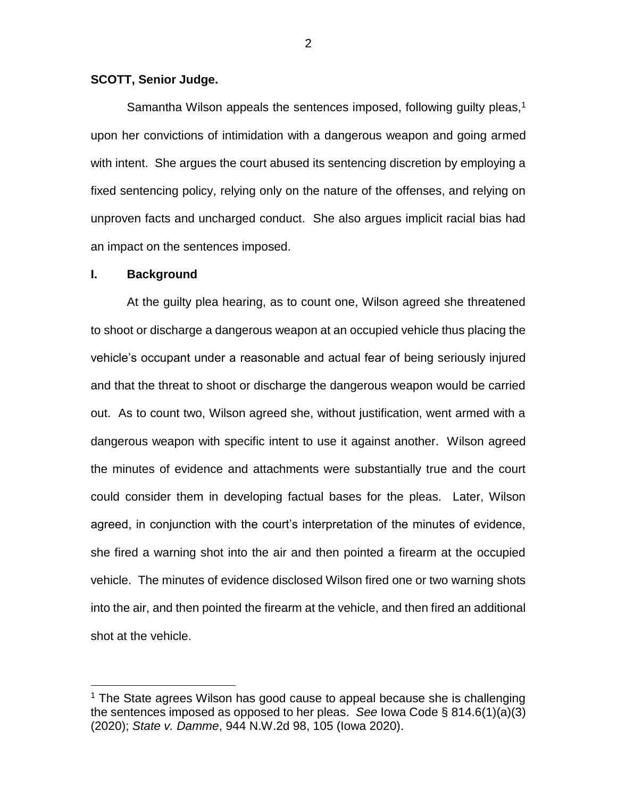## **SCOTT, Senior Judge.**

Samantha Wilson appeals the sentences imposed, following guilty pleas, $1$ upon her convictions of intimidation with a dangerous weapon and going armed with intent. She argues the court abused its sentencing discretion by employing a fixed sentencing policy, relying only on the nature of the offenses, and relying on unproven facts and uncharged conduct. She also argues implicit racial bias had an impact on the sentences imposed.

### **I. Background**

 $\overline{a}$ 

At the guilty plea hearing, as to count one, Wilson agreed she threatened to shoot or discharge a dangerous weapon at an occupied vehicle thus placing the vehicle's occupant under a reasonable and actual fear of being seriously injured and that the threat to shoot or discharge the dangerous weapon would be carried out. As to count two, Wilson agreed she, without justification, went armed with a dangerous weapon with specific intent to use it against another. Wilson agreed the minutes of evidence and attachments were substantially true and the court could consider them in developing factual bases for the pleas. Later, Wilson agreed, in conjunction with the court's interpretation of the minutes of evidence, she fired a warning shot into the air and then pointed a firearm at the occupied vehicle. The minutes of evidence disclosed Wilson fired one or two warning shots into the air, and then pointed the firearm at the vehicle, and then fired an additional shot at the vehicle.

2

 $1$  The State agrees Wilson has good cause to appeal because she is challenging the sentences imposed as opposed to her pleas. *See* Iowa Code § 814.6(1)(a)(3) (2020); *State v. Damme*, 944 N.W.2d 98, 105 (Iowa 2020).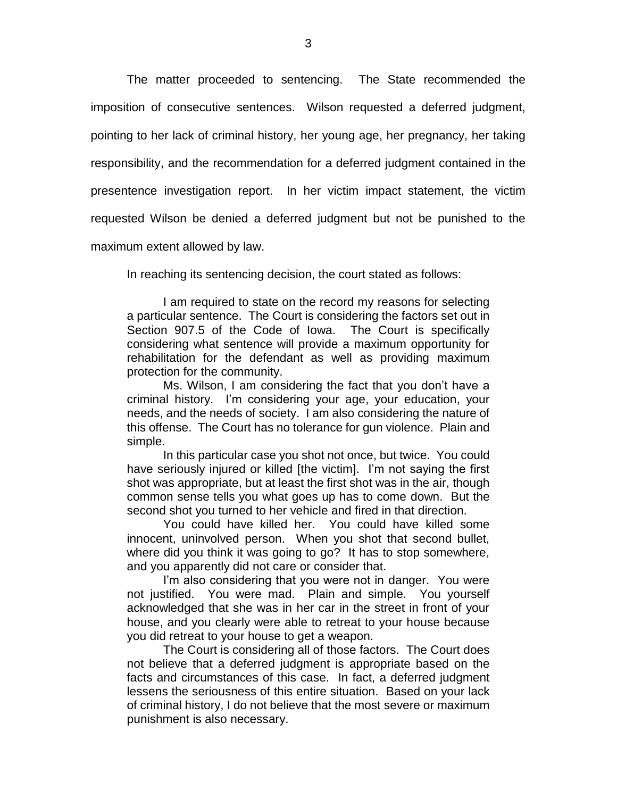The matter proceeded to sentencing. The State recommended the imposition of consecutive sentences. Wilson requested a deferred judgment, pointing to her lack of criminal history, her young age, her pregnancy, her taking responsibility, and the recommendation for a deferred judgment contained in the presentence investigation report. In her victim impact statement, the victim requested Wilson be denied a deferred judgment but not be punished to the maximum extent allowed by law.

In reaching its sentencing decision, the court stated as follows:

I am required to state on the record my reasons for selecting a particular sentence. The Court is considering the factors set out in Section 907.5 of the Code of Iowa. The Court is specifically considering what sentence will provide a maximum opportunity for rehabilitation for the defendant as well as providing maximum protection for the community.

Ms. Wilson, I am considering the fact that you don't have a criminal history. I'm considering your age, your education, your needs, and the needs of society. I am also considering the nature of this offense. The Court has no tolerance for gun violence. Plain and simple.

In this particular case you shot not once, but twice. You could have seriously injured or killed [the victim]. I'm not saying the first shot was appropriate, but at least the first shot was in the air, though common sense tells you what goes up has to come down. But the second shot you turned to her vehicle and fired in that direction.

You could have killed her. You could have killed some innocent, uninvolved person. When you shot that second bullet, where did you think it was going to go? It has to stop somewhere, and you apparently did not care or consider that.

I'm also considering that you were not in danger. You were not justified. You were mad. Plain and simple. You yourself acknowledged that she was in her car in the street in front of your house, and you clearly were able to retreat to your house because you did retreat to your house to get a weapon.

The Court is considering all of those factors. The Court does not believe that a deferred judgment is appropriate based on the facts and circumstances of this case. In fact, a deferred judgment lessens the seriousness of this entire situation. Based on your lack of criminal history, I do not believe that the most severe or maximum punishment is also necessary.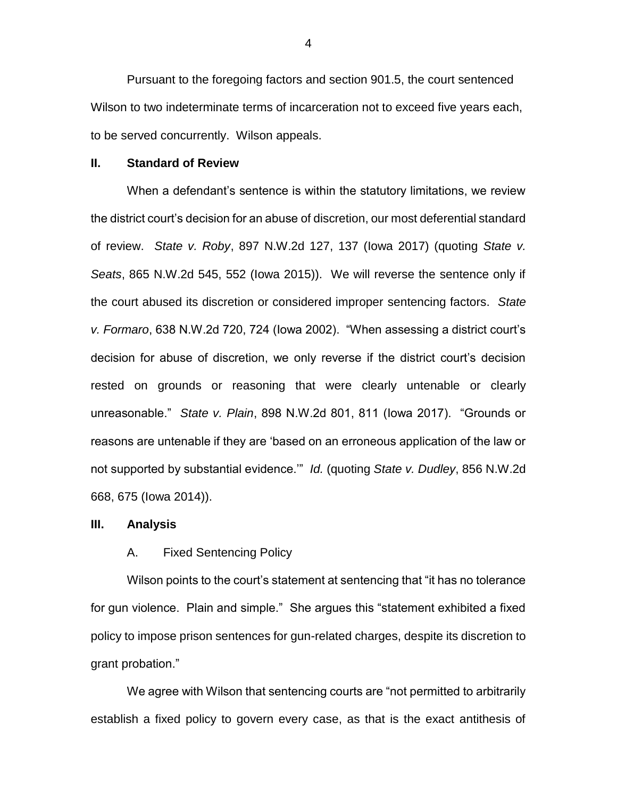Pursuant to the foregoing factors and section 901.5, the court sentenced Wilson to two indeterminate terms of incarceration not to exceed five years each, to be served concurrently. Wilson appeals.

#### **II. Standard of Review**

When a defendant's sentence is within the statutory limitations, we review the district court's decision for an abuse of discretion, our most deferential standard of review. *State v. Roby*, 897 N.W.2d 127, 137 (Iowa 2017) (quoting *State v. Seats*, 865 N.W.2d 545, 552 (Iowa 2015)). We will reverse the sentence only if the court abused its discretion or considered improper sentencing factors. *State v. Formaro*, 638 N.W.2d 720, 724 (Iowa 2002). "When assessing a district court's decision for abuse of discretion, we only reverse if the district court's decision rested on grounds or reasoning that were clearly untenable or clearly unreasonable." *State v. Plain*, 898 N.W.2d 801, 811 (Iowa 2017). "Grounds or reasons are untenable if they are 'based on an erroneous application of the law or not supported by substantial evidence.'" *Id.* (quoting *State v. Dudley*, 856 N.W.2d 668, 675 (Iowa 2014)).

#### **III. Analysis**

### A. Fixed Sentencing Policy

Wilson points to the court's statement at sentencing that "it has no tolerance for gun violence. Plain and simple." She argues this "statement exhibited a fixed policy to impose prison sentences for gun-related charges, despite its discretion to grant probation."

We agree with Wilson that sentencing courts are "not permitted to arbitrarily establish a fixed policy to govern every case, as that is the exact antithesis of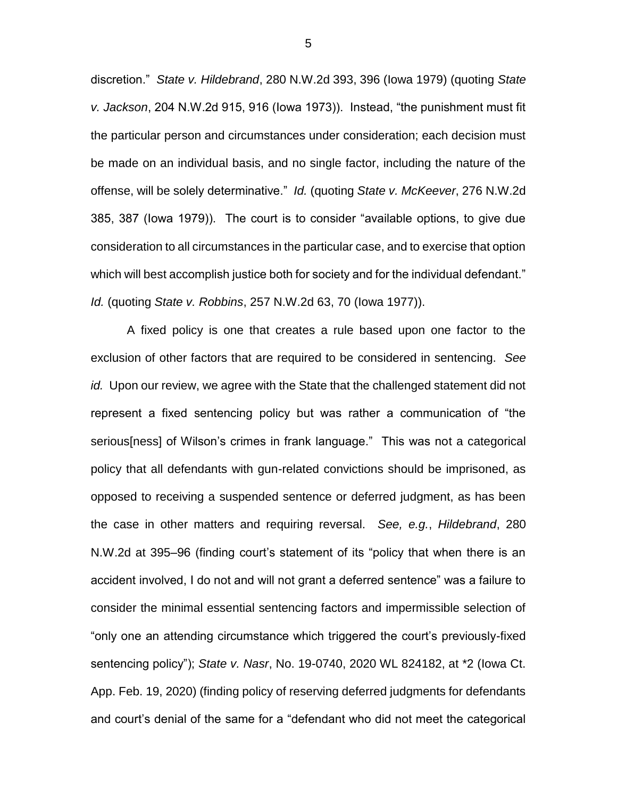discretion." *State v. Hildebrand*, 280 N.W.2d 393, 396 (Iowa 1979) (quoting *State v. Jackson*, 204 N.W.2d 915, 916 (Iowa 1973)). Instead, "the punishment must fit the particular person and circumstances under consideration; each decision must be made on an individual basis, and no single factor, including the nature of the offense, will be solely determinative." *Id.* (quoting *State v. McKeever*, 276 N.W.2d 385, 387 (Iowa 1979)). The court is to consider "available options, to give due consideration to all circumstances in the particular case, and to exercise that option which will best accomplish justice both for society and for the individual defendant." *Id.* (quoting *State v. Robbins*, 257 N.W.2d 63, 70 (Iowa 1977)).

A fixed policy is one that creates a rule based upon one factor to the exclusion of other factors that are required to be considered in sentencing. *See id.* Upon our review, we agree with the State that the challenged statement did not represent a fixed sentencing policy but was rather a communication of "the serious[ness] of Wilson's crimes in frank language." This was not a categorical policy that all defendants with gun-related convictions should be imprisoned, as opposed to receiving a suspended sentence or deferred judgment, as has been the case in other matters and requiring reversal. *See, e.g.*, *Hildebrand*, 280 N.W.2d at 395–96 (finding court's statement of its "policy that when there is an accident involved, I do not and will not grant a deferred sentence" was a failure to consider the minimal essential sentencing factors and impermissible selection of "only one an attending circumstance which triggered the court's previously-fixed sentencing policy"); *State v. Nasr*, No. 19-0740, 2020 WL 824182, at \*2 (Iowa Ct. App. Feb. 19, 2020) (finding policy of reserving deferred judgments for defendants and court's denial of the same for a "defendant who did not meet the categorical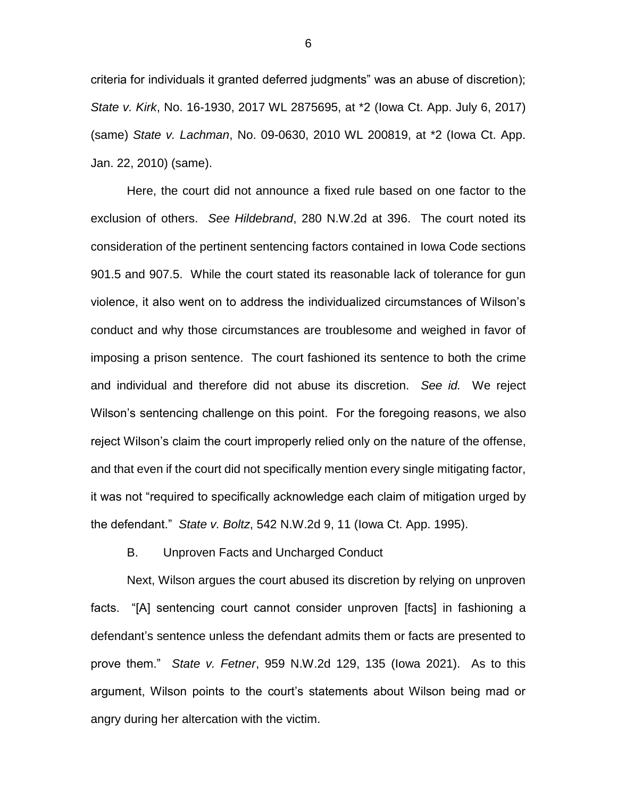criteria for individuals it granted deferred judgments" was an abuse of discretion); *State v. Kirk*, No. 16-1930, 2017 WL 2875695, at \*2 (Iowa Ct. App. July 6, 2017) (same) *State v. Lachman*, No. 09-0630, 2010 WL 200819, at \*2 (Iowa Ct. App. Jan. 22, 2010) (same).

Here, the court did not announce a fixed rule based on one factor to the exclusion of others. *See Hildebrand*, 280 N.W.2d at 396. The court noted its consideration of the pertinent sentencing factors contained in Iowa Code sections 901.5 and 907.5. While the court stated its reasonable lack of tolerance for gun violence, it also went on to address the individualized circumstances of Wilson's conduct and why those circumstances are troublesome and weighed in favor of imposing a prison sentence. The court fashioned its sentence to both the crime and individual and therefore did not abuse its discretion. *See id.* We reject Wilson's sentencing challenge on this point. For the foregoing reasons, we also reject Wilson's claim the court improperly relied only on the nature of the offense, and that even if the court did not specifically mention every single mitigating factor, it was not "required to specifically acknowledge each claim of mitigation urged by the defendant." *State v. Boltz*, 542 N.W.2d 9, 11 (Iowa Ct. App. 1995).

### B. Unproven Facts and Uncharged Conduct

Next, Wilson argues the court abused its discretion by relying on unproven facts. "[A] sentencing court cannot consider unproven [facts] in fashioning a defendant's sentence unless the defendant admits them or facts are presented to prove them." *State v. Fetner*, 959 N.W.2d 129, 135 (Iowa 2021). As to this argument, Wilson points to the court's statements about Wilson being mad or angry during her altercation with the victim.

6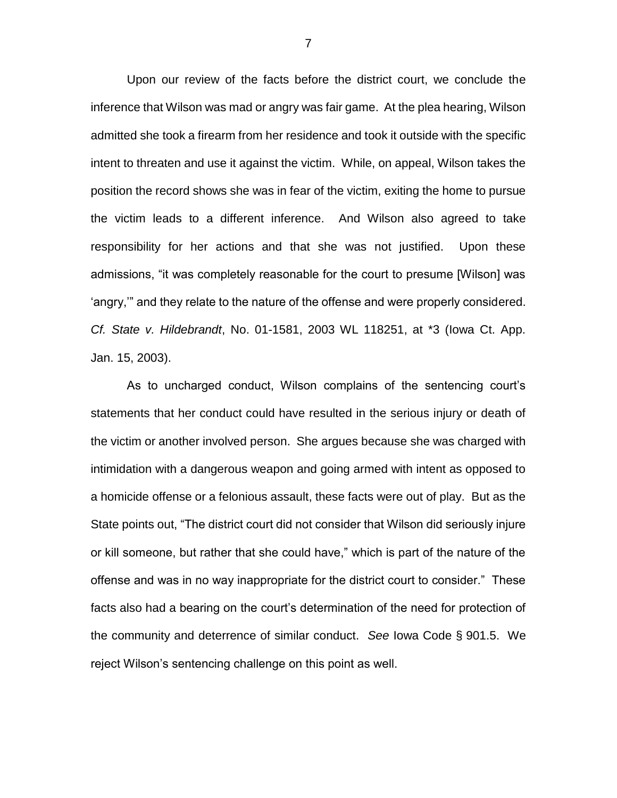Upon our review of the facts before the district court, we conclude the inference that Wilson was mad or angry was fair game. At the plea hearing, Wilson admitted she took a firearm from her residence and took it outside with the specific intent to threaten and use it against the victim. While, on appeal, Wilson takes the position the record shows she was in fear of the victim, exiting the home to pursue the victim leads to a different inference. And Wilson also agreed to take responsibility for her actions and that she was not justified. Upon these admissions, "it was completely reasonable for the court to presume [Wilson] was 'angry,'" and they relate to the nature of the offense and were properly considered. *Cf. State v. Hildebrandt*, No. 01-1581, 2003 WL 118251, at \*3 (Iowa Ct. App. Jan. 15, 2003).

As to uncharged conduct, Wilson complains of the sentencing court's statements that her conduct could have resulted in the serious injury or death of the victim or another involved person. She argues because she was charged with intimidation with a dangerous weapon and going armed with intent as opposed to a homicide offense or a felonious assault, these facts were out of play. But as the State points out, "The district court did not consider that Wilson did seriously injure or kill someone, but rather that she could have," which is part of the nature of the offense and was in no way inappropriate for the district court to consider." These facts also had a bearing on the court's determination of the need for protection of the community and deterrence of similar conduct. *See* Iowa Code § 901.5. We reject Wilson's sentencing challenge on this point as well.

7